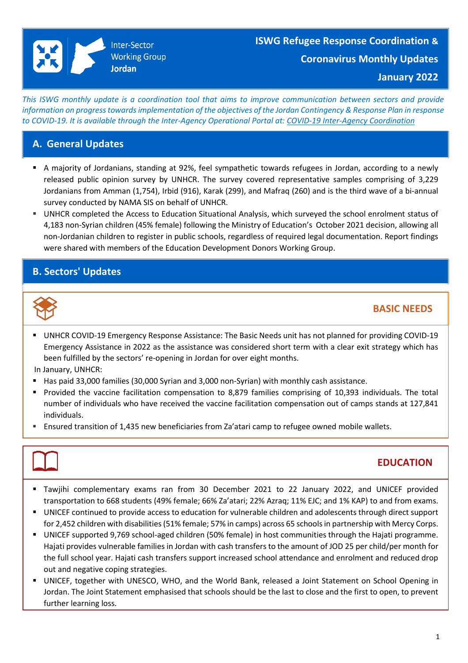**January 2022**

This ISWG monthly update is a coordination tool that aims to improve communication between sectors and provide *information on progresstowardsimplementation of the objectives of the Jordan Contingency & Response Plan in response to COVID-19. It is available through the Inter-Agency Operational Portal at: COVID-19 Inter-Agency [Coordination](https://eur02.safelinks.protection.outlook.com/?url=https%3A%2F%2Fdata2.unhcr.org%2Fen%2Fworking-group%2F251%3Fsv%3D4%26geo%3D36&data=02%7C01%7Cbyunc%40unhcr.org%7C0621d0ad56f141cfe71708d7d3d2dc45%7Ce5c37981666441348a0c6543d2af80be%7C0%7C0%7C637210774895002030&sdata=aPEtg5vDIBj3A4AWkO5sOLo7pACA7Q8cjR8bwQyAa8c%3D&reserved=0)*

## **A. General Updates**

- A majority of Jordanians, standing at 92%, feel sympathetic towards refugees in Jordan, according to a newly released public opinion survey by UNHCR. The survey covered representative samples comprising of 3,229 Jordanians from Amman (1,754), Irbid (916), Karak (299), and Mafraq (260) and is the third wave of a bi-annual survey conducted by NAMA SIS on behalf of UNHCR.
- UNHCR completed the Access to Education Situational Analysis, which surveyed the school enrolment status of 4,183 non-Syrian children (45% female) following the Ministry of Education's October 2021 decision, allowing all non-Jordanian children to register in public schools, regardless of required legal documentation. Report findings were shared with members of the Education Development Donors Working Group.

# **B. Sectors' Updates**



# **BASIC NEEDS**

▪ UNHCR COVID-19 Emergency Response Assistance: The Basic Needs unit has not planned for providing COVID-19 Emergency Assistance in 2022 as the assistance was considered short term with a clear exit strategy which has been fulfilled by the sectors' re-opening in Jordan for over eight months.

In January, UNHCR:

- Has paid 33,000 families (30,000 Syrian and 3,000 non-Syrian) with monthly cash assistance.
- Provided the vaccine facilitation compensation to 8,879 families comprising of 10,393 individuals. The total number of individuals who have received the vaccine facilitation compensation out of camps stands at 127,841 individuals.
- Ensured transition of 1,435 new beneficiaries from Za'atari camp to refugee owned mobile wallets.

# **EDUCATION**

- Tawjihi complementary exams ran from 30 December 2021 to 22 January 2022, and UNICEF provided transportation to 668 students (49% female; 66% Za'atari; 22% Azraq; 11% EJC; and 1% KAP) to and from exams.
- UNICEF continued to provide access to education for vulnerable children and adolescents through direct support for 2,452 children with disabilities(51% female; 57% in camps) across 65 schoolsin partnership with Mercy Corps.
- UNICEF supported 9,769 school-aged children (50% female) in host communities through the Hajati programme. Hajati provides vulnerable families in Jordan with cash transfers to the amount of JOD 25 per child/per month for the full school year. Hajati cash transfers support increased school attendance and enrolment and reduced drop out and negative coping strategies.
- UNICEF, together with UNESCO, WHO, and the World Bank, released a Joint Statement on School Opening in Jordan. The Joint Statement emphasised that schools should be the last to close and the first to open, to prevent further learning loss.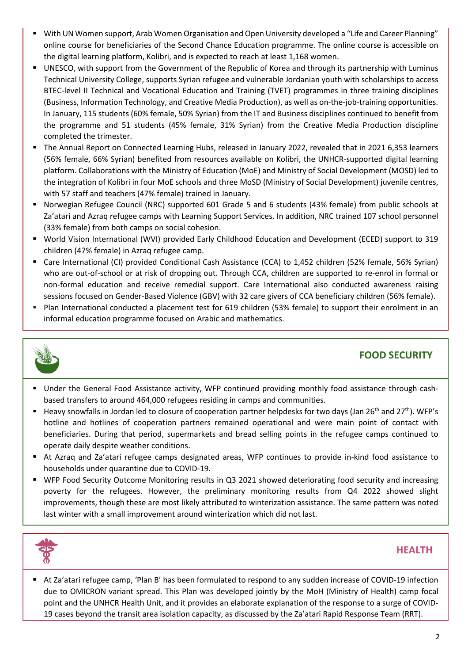- With UN Women support, Arab Women Organisation and Open University developed a "Life and Career Planning" online course for beneficiaries of the Second Chance Education programme. The online course is accessible on the digital learning platform, Kolibri, and is expected to reach at least 1,168 women.
- UNESCO, with support from the Government of the Republic of Korea and through its partnership with Luminus Technical University College, supports Syrian refugee and vulnerable Jordanian youth with scholarships to access BTEC-level II Technical and Vocational Education and Training (TVET) programmes in three training disciplines (Business, Information Technology, and Creative Media Production), as well as on-the-job-training opportunities. In January, 115 students (60% female, 50% Syrian) from the IT and Business disciplines continued to benefit from the programme and 51 students (45% female, 31% Syrian) from the Creative Media Production discipline completed the trimester.
- The Annual Report on Connected Learning Hubs, released in January 2022, revealed that in 2021 6,353 learners (56% female, 66% Syrian) benefited from resources available on Kolibri, the UNHCR-supported digital learning platform. Collaborations with the Ministry of Education (MoE) and Ministry of Social Development (MOSD) led to the integration of Kolibri in four MoE schools and three MoSD (Ministry of Social Development) juvenile centres, with 57 staff and teachers (47% female) trained in January.
- Norwegian Refugee Council (NRC) supported 601 Grade 5 and 6 students (43% female) from public schools at Za'atari and Azraq refugee camps with Learning Support Services. In addition, NRC trained 107 school personnel (33% female) from both camps on social cohesion.
- World Vision International (WVI) provided Early Childhood Education and Development (ECED) support to 319 children (47% female) in Azraq refugee camp.
- Care International (CI) provided Conditional Cash Assistance (CCA) to 1,452 children (52% female, 56% Syrian) who are out-of-school or at risk of dropping out. Through CCA, children are supported to re-enrol in formal or non-formal education and receive remedial support. Care International also conducted awareness raising sessions focused on Gender-Based Violence (GBV) with 32 care givers of CCA beneficiary children (56% female).
- Plan International conducted a placement test for 619 children (53% female) to support their enrolment in an informal education programme focused on Arabic and mathematics.



# **FOOD SECURITY**

- Under the General Food Assistance activity, WFP continued providing monthly food assistance through cashbased transfers to around 464,000 refugees residing in camps and communities.
- Heavy snowfalls in Jordan led to closure of cooperation partner helpdesks for two days (Jan 26<sup>th</sup> and 27<sup>th</sup>). WFP's hotline and hotlines of cooperation partners remained operational and were main point of contact with beneficiaries. During that period, supermarkets and bread selling points in the refugee camps continued to operate daily despite weather conditions.
- At Azraq and Za'atari refugee camps designated areas, WFP continues to provide in-kind food assistance to households under quarantine due to COVID-19.
- WFP Food Security Outcome Monitoring results in Q3 2021 showed deteriorating food security and increasing poverty for the refugees. However, the preliminary monitoring results from Q4 2022 showed slight improvements, though these are most likely attributed to winterization assistance. The same pattern was noted last winter with a small improvement around winterization which did not last.



## **HEALTH**

■ At Za'atari refugee camp, 'Plan B' has been formulated to respond to any sudden increase of COVID-19 infection due to OMICRON variant spread. This Plan was developed jointly by the MoH (Ministry of Health) camp focal point and the UNHCR Health Unit, and it provides an elaborate explanation of the response to a surge of COVID-19 cases beyond the transit area isolation capacity, as discussed by the Za'atari Rapid Response Team (RRT).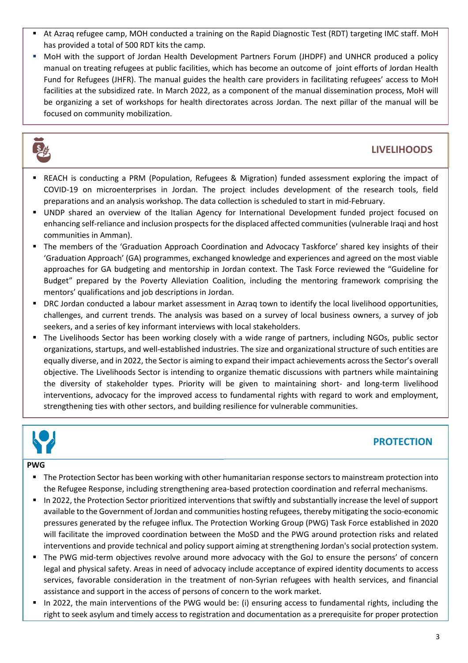- At Azraq refugee camp, MOH conducted a training on the Rapid Diagnostic Test (RDT) targeting IMC staff. MoH has provided a total of 500 RDT kits the camp.
- MoH with the support of Jordan Health Development Partners Forum (JHDPF) and UNHCR produced a policy manual on treating refugees at public facilities, which has become an outcome of joint efforts of Jordan Health Fund for Refugees (JHFR). The manual guides the health care providers in facilitating refugees' access to MoH facilities at the subsidized rate. In March 2022, as a component of the manual dissemination process, MoH will be organizing a set of workshops for health directorates across Jordan. The next pillar of the manual will be focused on community mobilization.



# **LIVELIHOODS**

- REACH is conducting a PRM (Population, Refugees & Migration) funded assessment exploring the impact of COVID-19 on microenterprises in Jordan. The project includes development of the research tools, field preparations and an analysis workshop. The data collection is scheduled to start in mid-February.
- UNDP shared an overview of the Italian Agency for International Development funded project focused on enhancing self-reliance and inclusion prospects for the displaced affected communities (vulnerable Iraqi and host communities in Amman).
- The members of the 'Graduation Approach Coordination and Advocacy Taskforce' shared key insights of their 'Graduation Approach' (GA) programmes, exchanged knowledge and experiences and agreed on the most viable approaches for GA budgeting and mentorship in Jordan context. The Task Force reviewed the "Guideline for Budget" prepared by the Poverty Alleviation Coalition, including the mentoring framework comprising the mentors' qualifications and job descriptions in Jordan.
- DRC Jordan conducted a labour market assessment in Azraq town to identify the local livelihood opportunities, challenges, and current trends. The analysis was based on a survey of local business owners, a survey of job seekers, and a series of key informant interviews with local stakeholders.
- The Livelihoods Sector has been working closely with a wide range of partners, including NGOs, public sector organizations, startups, and well-established industries. The size and organizational structure of such entities are equally diverse, and in 2022, the Sector is aiming to expand their impact achievements across the Sector's overall objective. The Livelihoods Sector is intending to organize thematic discussions with partners while maintaining the diversity of stakeholder types. Priority will be given to maintaining short- and long-term livelihood interventions, advocacy for the improved access to fundamental rights with regard to work and employment, strengthening ties with other sectors, and building resilience for vulnerable communities.



# **PROTECTION**

## **PWG**

- The Protection Sector has been working with other humanitarian response sectors to mainstream protection into the Refugee Response, including strengthening area-based protection coordination and referral mechanisms.
- In 2022, the Protection Sector prioritized interventions that swiftly and substantially increase the level of support available to the Government of Jordan and communities hosting refugees, thereby mitigating the socio-economic pressures generated by the refugee influx. The Protection Working Group (PWG) Task Force established in 2020 will facilitate the improved coordination between the MoSD and the PWG around protection risks and related interventions and provide technical and policy support aiming at strengthening Jordan's social protection system.
- The PWG mid-term objectives revolve around more advocacy with the GoJ to ensure the persons' of concern legal and physical safety. Areas in need of advocacy include acceptance of expired identity documents to access services, favorable consideration in the treatment of non-Syrian refugees with health services, and financial assistance and support in the access of persons of concern to the work market.
- In 2022, the main interventions of the PWG would be: (i) ensuring access to fundamental rights, including the right to seek asylum and timely access to registration and documentation as a prerequisite for proper protection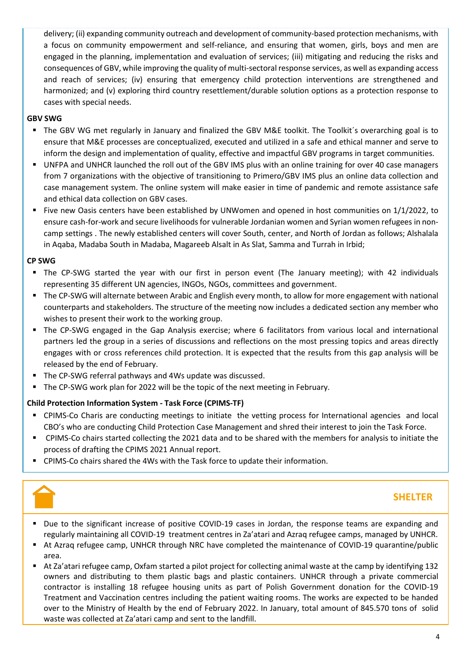delivery; (ii) expanding community outreach and development of community-based protection mechanisms, with a focus on community empowerment and self-reliance, and ensuring that women, girls, boys and men are engaged in the planning, implementation and evaluation of services; (iii) mitigating and reducing the risks and consequences of GBV, while improving the quality of multi-sectoral response services, as well as expanding access and reach of services; (iv) ensuring that emergency child protection interventions are strengthened and harmonized; and (v) exploring third country resettlement/durable solution options as a protection response to cases with special needs.

#### **GBV SWG**

- The GBV WG met regularly in January and finalized the GBV M&E toolkit. The Toolkit´s overarching goal is to ensure that M&E processes are conceptualized, executed and utilized in a safe and ethical manner and serve to inform the design and implementation of quality, effective and impactful GBV programs in target communities.
- UNFPA and UNHCR launched the roll out of the GBV IMS plus with an online training for over 40 case managers from 7 organizations with the objective of transitioning to Primero/GBV IMS plus an online data collection and case management system. The online system will make easier in time of pandemic and remote assistance safe and ethical data collection on GBV cases.
- Five new Oasis centers have been established by UNWomen and opened in host communities on 1/1/2022, to ensure cash-for-work and secure livelihoods for vulnerable Jordanian women and Syrian women refugees in noncamp settings . The newly established centers will cover South, center, and North of Jordan as follows; Alshalala in Aqaba, Madaba South in Madaba, Magareeb Alsalt in As Slat, Samma and Turrah in Irbid;

#### **CP SWG**

- The CP-SWG started the year with our first in person event (The January meeting); with 42 individuals representing 35 different UN agencies, INGOs, NGOs, committees and government.
- The CP-SWG will alternate between Arabic and English every month, to allow for more engagement with national counterparts and stakeholders. The structure of the meeting now includes a dedicated section any member who wishes to present their work to the working group.
- The CP-SWG engaged in the Gap Analysis exercise; where 6 facilitators from various local and international partners led the group in a series of discussions and reflections on the most pressing topics and areas directly engages with or cross references child protection. It is expected that the results from this gap analysis will be released by the end of February.
- The CP-SWG referral pathways and 4Ws update was discussed.
- The CP-SWG work plan for 2022 will be the topic of the next meeting in February.

#### **Child Protection Information System - Task Force (CPIMS-TF)**

- CPIMS-Co Charis are conducting meetings to initiate the vetting process for International agencies and local CBO's who are conducting Child Protection Case Management and shred their interest to join the Task Force.
- CPIMS-Co chairs started collecting the 2021 data and to be shared with the members for analysis to initiate the process of drafting the CPIMS 2021 Annual report.
- CPIMS-Co chairs shared the 4Ws with the Task force to update their information.



## **SHELTER**

- Due to the significant increase of positive COVID-19 cases in Jordan, the response teams are expanding and regularly maintaining all COVID-19 treatment centres in Za'atari and Azraq refugee camps, managed by UNHCR.
- At Azraq refugee camp, UNHCR through NRC have completed the maintenance of COVID-19 quarantine/public area.
- At Za'atari refugee camp, Oxfam started a pilot project for collecting animal waste at the camp by identifying 132 owners and distributing to them plastic bags and plastic containers. UNHCR through a private commercial contractor is installing 18 refugee housing units as part of Polish Government donation for the COVID-19 Treatment and Vaccination centres including the patient waiting rooms. The works are expected to be handed over to the Ministry of Health by the end of February 2022. In January, total amount of 845.570 tons of solid waste was collected at Za'atari camp and sent to the landfill.